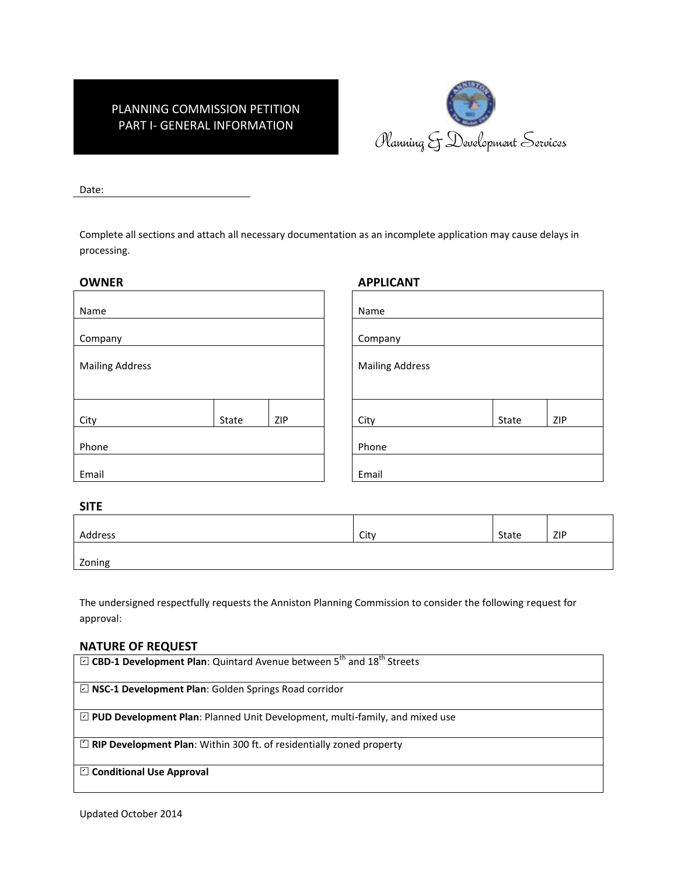## PLANNING COMMISSION PETITION PART I- GENERAL INFORMATION



Date:

Complete all sections and attach all necessary documentation as an incomplete application may cause delays in processing.

| <b>OWNER</b>           |       |                        | <b>APPLICANT</b> |       |     |
|------------------------|-------|------------------------|------------------|-------|-----|
| Name                   |       | Name                   |                  |       |     |
| Company                |       |                        | Company          |       |     |
| <b>Mailing Address</b> |       | <b>Mailing Address</b> |                  |       |     |
| City                   | State | ZIP                    | City             | State | ZIP |
| Phone                  |       |                        | Phone            |       |     |
| Email                  |       |                        | Email            |       |     |

### **SITE**

| Address | City | State | ZIP |
|---------|------|-------|-----|
| Zoning  |      |       |     |

The undersigned respectfully requests the Anniston Planning Commission to consider the following request for approval:

### **NATURE OF REQUEST**

| $\boxdot$ CBD-1 Development Plan: Quintard Avenue between 5 <sup>th</sup> and 18 <sup>th</sup> Streets |
|--------------------------------------------------------------------------------------------------------|
|                                                                                                        |
| $\boxdot$ NSC-1 Development Plan: Golden Springs Road corridor                                         |
| $\boxdot$ PUD Development Plan: Planned Unit Development, multi-family, and mixed use                  |
| $\Box$ RIP Development Plan: Within 300 ft. of residentially zoned property                            |
| $\Box$ Conditional Use Approval                                                                        |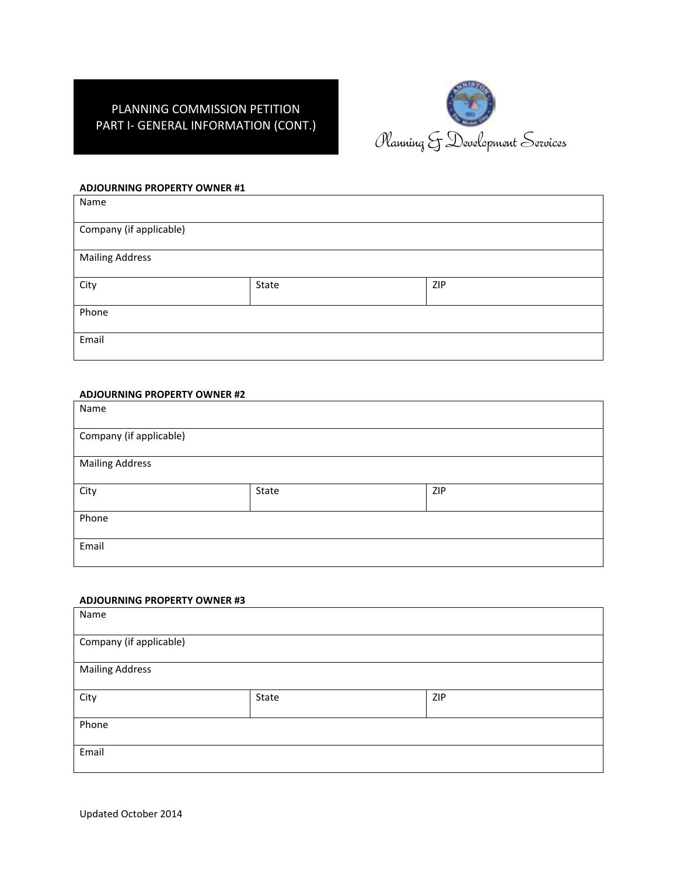## PLANNING COMMISSION PETITION PART I- GENERAL INFORMATION (CONT.)



### **ADJOURNING PROPERTY OWNER #1**

| Name                    |       |     |
|-------------------------|-------|-----|
| Company (if applicable) |       |     |
| <b>Mailing Address</b>  |       |     |
| City                    | State | ZIP |
| Phone                   |       |     |
| Email                   |       |     |

#### **ADJOURNING PROPERTY OWNER #2**

| Name                    |       |     |
|-------------------------|-------|-----|
| Company (if applicable) |       |     |
| <b>Mailing Address</b>  |       |     |
| City                    | State | ZIP |
| Phone                   |       |     |
| Email                   |       |     |

#### **ADJOURNING PROPERTY OWNER #3**

| Name                    |       |     |  |
|-------------------------|-------|-----|--|
| Company (if applicable) |       |     |  |
| <b>Mailing Address</b>  |       |     |  |
| City                    | State | ZIP |  |
| Phone                   |       |     |  |
| Email                   |       |     |  |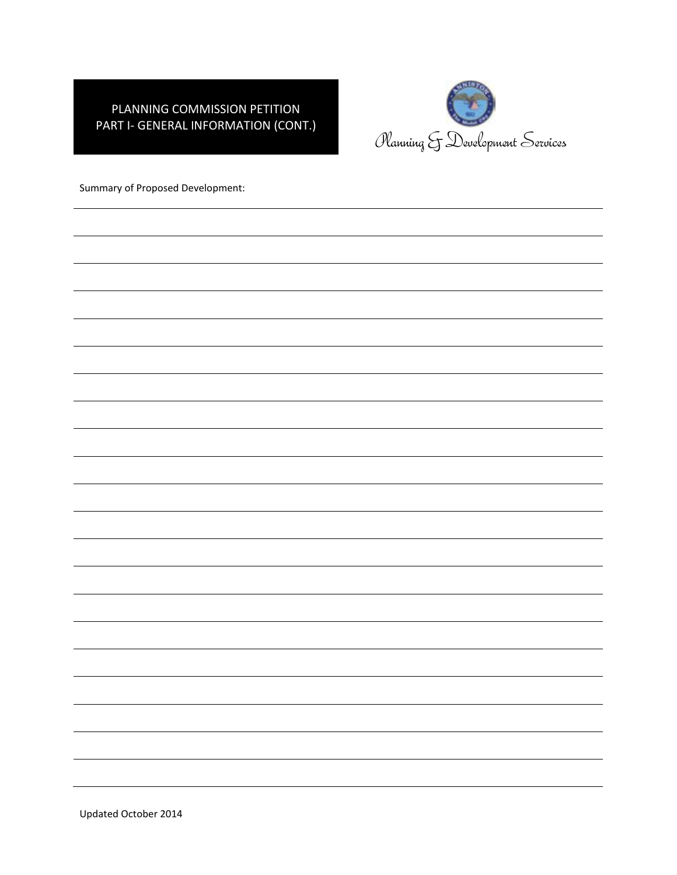## PLANNING COMMISSION PETITION PART I- GENERAL INFORMATION (CONT.)



Summary of Proposed Development: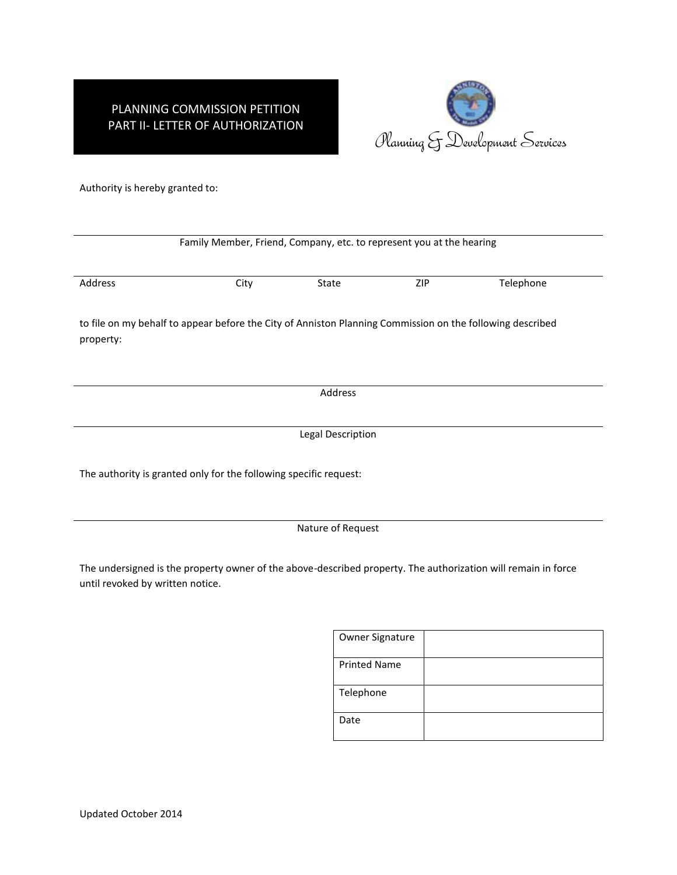# PLANNING COMMISSION PETITION PART II- LETTER OF AUTHORIZATION



Authority is hereby granted to:

| Family Member, Friend, Company, etc. to represent you at the hearing |                                                                                                           |         |            |           |  |  |
|----------------------------------------------------------------------|-----------------------------------------------------------------------------------------------------------|---------|------------|-----------|--|--|
| Address                                                              | City                                                                                                      | State   | <b>ZIP</b> | Telephone |  |  |
| property:                                                            | to file on my behalf to appear before the City of Anniston Planning Commission on the following described |         |            |           |  |  |
|                                                                      |                                                                                                           | Address |            |           |  |  |
| Legal Description                                                    |                                                                                                           |         |            |           |  |  |
|                                                                      | The authority is granted only for the following specific request:                                         |         |            |           |  |  |
| Nature of Request                                                    |                                                                                                           |         |            |           |  |  |

The undersigned is the property owner of the above-described property. The authorization will remain in force until revoked by written notice.

| Owner Signature     |  |
|---------------------|--|
| <b>Printed Name</b> |  |
| Telephone           |  |
| Date                |  |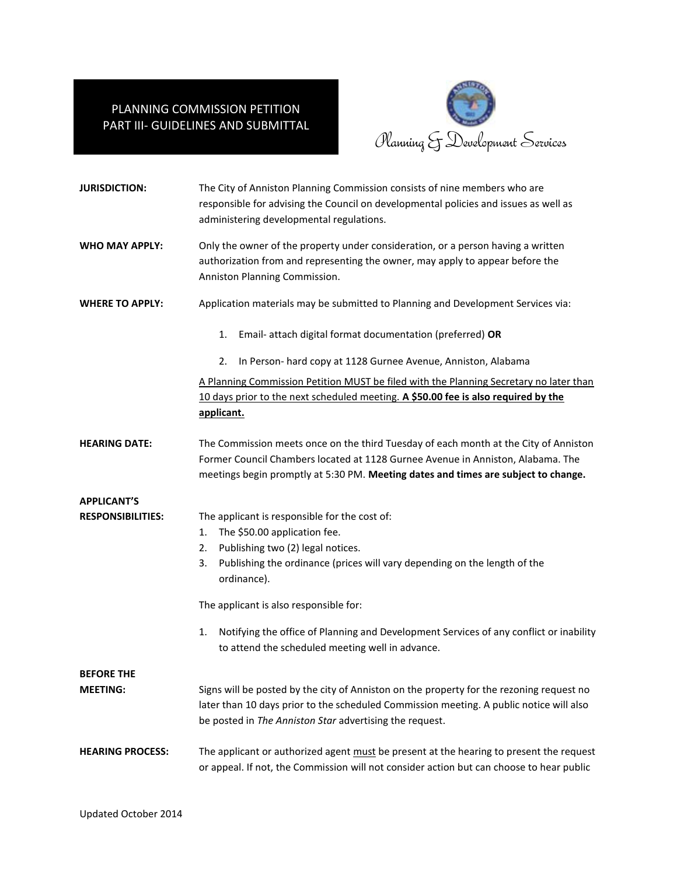## PLANNING COMMISSION PETITION PART III- GUIDELINES AND SUBMITTAL



| <b>JURISDICTION:</b>     | The City of Anniston Planning Commission consists of nine members who are<br>responsible for advising the Council on developmental policies and issues as well as<br>administering developmental regulations.                                                 |  |  |
|--------------------------|---------------------------------------------------------------------------------------------------------------------------------------------------------------------------------------------------------------------------------------------------------------|--|--|
| <b>WHO MAY APPLY:</b>    | Only the owner of the property under consideration, or a person having a written<br>authorization from and representing the owner, may apply to appear before the<br>Anniston Planning Commission.                                                            |  |  |
| <b>WHERE TO APPLY:</b>   | Application materials may be submitted to Planning and Development Services via:                                                                                                                                                                              |  |  |
|                          | Email- attach digital format documentation (preferred) OR<br>1.                                                                                                                                                                                               |  |  |
|                          | In Person- hard copy at 1128 Gurnee Avenue, Anniston, Alabama<br>2.                                                                                                                                                                                           |  |  |
|                          | A Planning Commission Petition MUST be filed with the Planning Secretary no later than                                                                                                                                                                        |  |  |
|                          | 10 days prior to the next scheduled meeting. A \$50.00 fee is also required by the                                                                                                                                                                            |  |  |
|                          | applicant.                                                                                                                                                                                                                                                    |  |  |
| <b>HEARING DATE:</b>     | The Commission meets once on the third Tuesday of each month at the City of Anniston<br>Former Council Chambers located at 1128 Gurnee Avenue in Anniston, Alabama. The<br>meetings begin promptly at 5:30 PM. Meeting dates and times are subject to change. |  |  |
| <b>APPLICANT'S</b>       |                                                                                                                                                                                                                                                               |  |  |
| <b>RESPONSIBILITIES:</b> | The applicant is responsible for the cost of:                                                                                                                                                                                                                 |  |  |
|                          | The \$50.00 application fee.<br>1.                                                                                                                                                                                                                            |  |  |
|                          | Publishing two (2) legal notices.<br>2.                                                                                                                                                                                                                       |  |  |
|                          | Publishing the ordinance (prices will vary depending on the length of the<br>3.<br>ordinance).                                                                                                                                                                |  |  |
|                          | The applicant is also responsible for:                                                                                                                                                                                                                        |  |  |
|                          | Notifying the office of Planning and Development Services of any conflict or inability<br>1.<br>to attend the scheduled meeting well in advance.                                                                                                              |  |  |
| <b>BEFORE THE</b>        |                                                                                                                                                                                                                                                               |  |  |
| <b>MEETING:</b>          | Signs will be posted by the city of Anniston on the property for the rezoning request no<br>later than 10 days prior to the scheduled Commission meeting. A public notice will also<br>be posted in The Anniston Star advertising the request.                |  |  |
| <b>HEARING PROCESS:</b>  | The applicant or authorized agent must be present at the hearing to present the request<br>or appeal. If not, the Commission will not consider action but can choose to hear public                                                                           |  |  |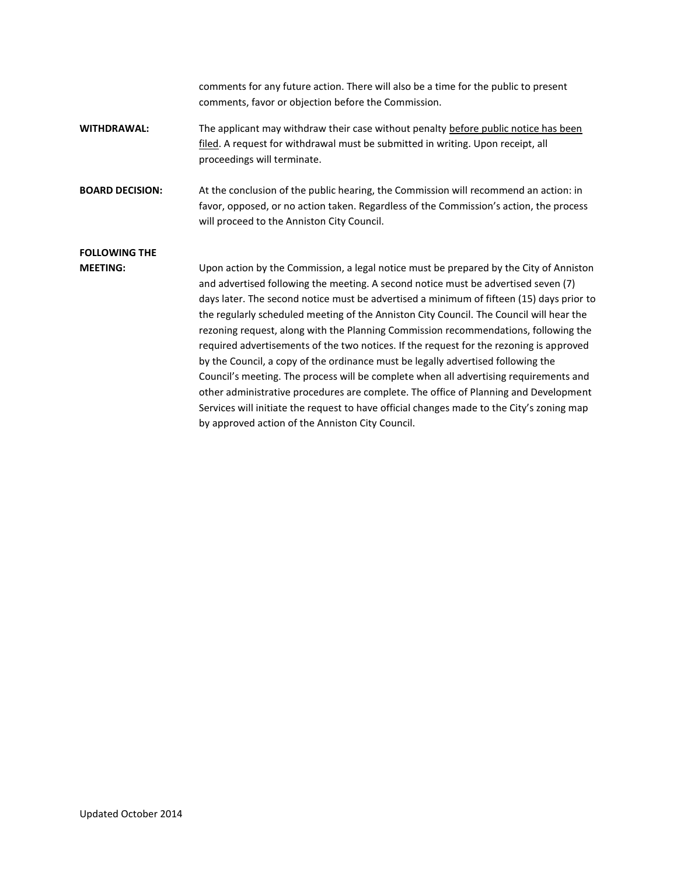comments for any future action. There will also be a time for the public to present comments, favor or objection before the Commission. WITHDRAWAL: The applicant may withdraw their case without penalty before public notice has been filed. A request for withdrawal must be submitted in writing. Upon receipt, all proceedings will terminate. **BOARD DECISION:** At the conclusion of the public hearing, the Commission will recommend an action: in favor, opposed, or no action taken. Regardless of the Commission's action, the process will proceed to the Anniston City Council. **FOLLOWING THE MEETING:** Upon action by the Commission, a legal notice must be prepared by the City of Anniston and advertised following the meeting. A second notice must be advertised seven (7) days later. The second notice must be advertised a minimum of fifteen (15) days prior to the regularly scheduled meeting of the Anniston City Council. The Council will hear the rezoning request, along with the Planning Commission recommendations, following the required advertisements of the two notices. If the request for the rezoning is approved by the Council, a copy of the ordinance must be legally advertised following the Council's meeting. The process will be complete when all advertising requirements and other administrative procedures are complete. The office of Planning and Development Services will initiate the request to have official changes made to the City's zoning map by approved action of the Anniston City Council.